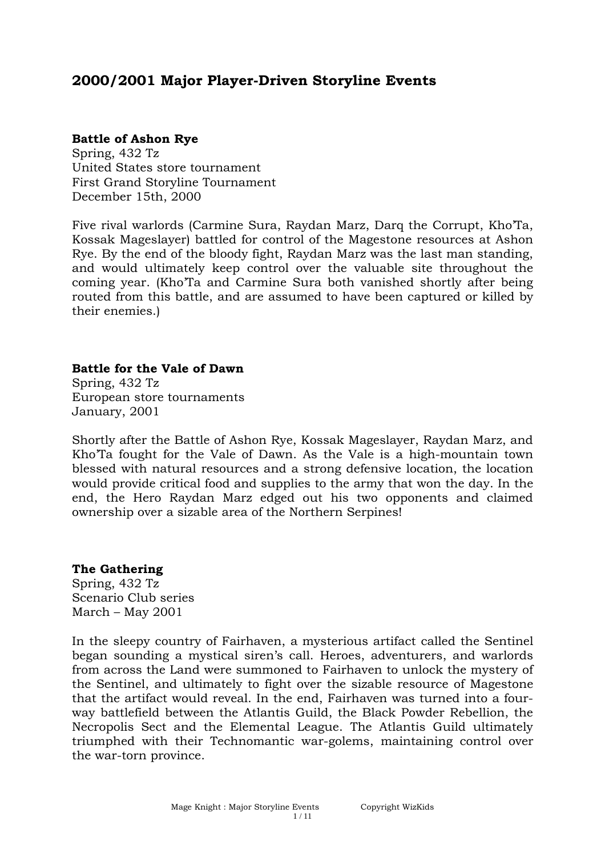# **2000/2001 Major Player-Driven Storyline Events**

## **Battle of Ashon Rye**

Spring, 432 Tz United States store tournament First Grand Storyline Tournament December 15th, 2000

Five rival warlords (Carmine Sura, Raydan Marz, Darq the Corrupt, Kho'Ta, Kossak Mageslayer) battled for control of the Magestone resources at Ashon Rye. By the end of the bloody fight, Raydan Marz was the last man standing, and would ultimately keep control over the valuable site throughout the coming year. (Kho'Ta and Carmine Sura both vanished shortly after being routed from this battle, and are assumed to have been captured or killed by their enemies.)

## **Battle for the Vale of Dawn**

Spring, 432 Tz European store tournaments January, 2001

Shortly after the Battle of Ashon Rye, Kossak Mageslayer, Raydan Marz, and Kho'Ta fought for the Vale of Dawn. As the Vale is a high-mountain town blessed with natural resources and a strong defensive location, the location would provide critical food and supplies to the army that won the day. In the end, the Hero Raydan Marz edged out his two opponents and claimed ownership over a sizable area of the Northern Serpines!

## **The Gathering**

Spring, 432 Tz Scenario Club series March – May 2001

In the sleepy country of Fairhaven, a mysterious artifact called the Sentinel began sounding a mystical siren's call. Heroes, adventurers, and warlords from across the Land were summoned to Fairhaven to unlock the mystery of the Sentinel, and ultimately to fight over the sizable resource of Magestone that the artifact would reveal. In the end, Fairhaven was turned into a fourway battlefield between the Atlantis Guild, the Black Powder Rebellion, the Necropolis Sect and the Elemental League. The Atlantis Guild ultimately triumphed with their Technomantic war-golems, maintaining control over the war-torn province.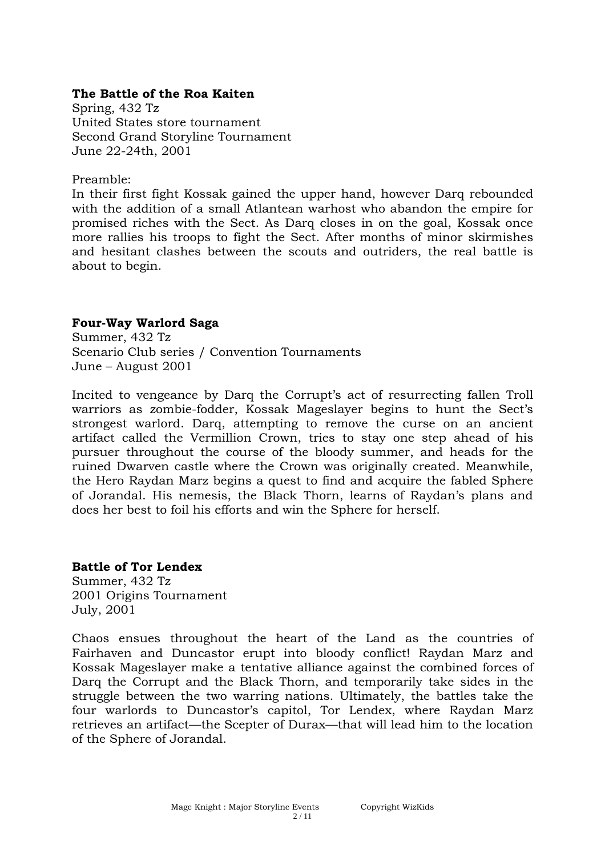#### **The Battle of the Roa Kaiten**

Spring, 432 Tz United States store tournament Second Grand Storyline Tournament June 22-24th, 2001

Preamble:

In their first fight Kossak gained the upper hand, however Darq rebounded with the addition of a small Atlantean warhost who abandon the empire for promised riches with the Sect. As Darq closes in on the goal, Kossak once more rallies his troops to fight the Sect. After months of minor skirmishes and hesitant clashes between the scouts and outriders, the real battle is about to begin.

#### **Four-Way Warlord Saga**

Summer, 432 Tz Scenario Club series / Convention Tournaments June – August 2001

Incited to vengeance by Darq the Corrupt's act of resurrecting fallen Troll warriors as zombie-fodder, Kossak Mageslayer begins to hunt the Sect's strongest warlord. Darq, attempting to remove the curse on an ancient artifact called the Vermillion Crown, tries to stay one step ahead of his pursuer throughout the course of the bloody summer, and heads for the ruined Dwarven castle where the Crown was originally created. Meanwhile, the Hero Raydan Marz begins a quest to find and acquire the fabled Sphere of Jorandal. His nemesis, the Black Thorn, learns of Raydan's plans and does her best to foil his efforts and win the Sphere for herself.

#### **Battle of Tor Lendex**

Summer, 432 Tz 2001 Origins Tournament July, 2001

Chaos ensues throughout the heart of the Land as the countries of Fairhaven and Duncastor erupt into bloody conflict! Raydan Marz and Kossak Mageslayer make a tentative alliance against the combined forces of Darq the Corrupt and the Black Thorn, and temporarily take sides in the struggle between the two warring nations. Ultimately, the battles take the four warlords to Duncastor's capitol, Tor Lendex, where Raydan Marz retrieves an artifact—the Scepter of Durax—that will lead him to the location of the Sphere of Jorandal.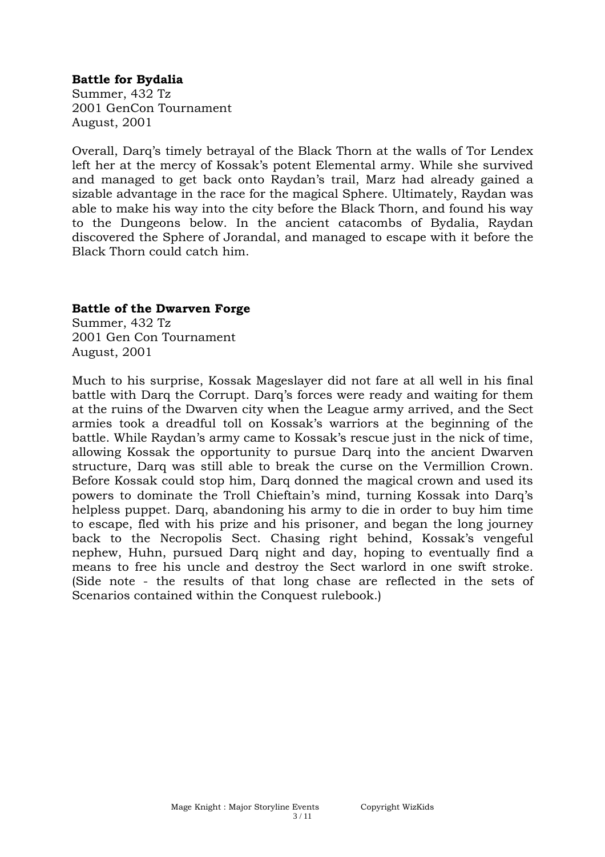## **Battle for Bydalia**

Summer, 432 Tz 2001 GenCon Tournament August, 2001

Overall, Darq's timely betrayal of the Black Thorn at the walls of Tor Lendex left her at the mercy of Kossak's potent Elemental army. While she survived and managed to get back onto Raydan's trail, Marz had already gained a sizable advantage in the race for the magical Sphere. Ultimately, Raydan was able to make his way into the city before the Black Thorn, and found his way to the Dungeons below. In the ancient catacombs of Bydalia, Raydan discovered the Sphere of Jorandal, and managed to escape with it before the Black Thorn could catch him.

## **Battle of the Dwarven Forge**

Summer, 432 Tz 2001 Gen Con Tournament August, 2001

Much to his surprise, Kossak Mageslayer did not fare at all well in his final battle with Darq the Corrupt. Darq's forces were ready and waiting for them at the ruins of the Dwarven city when the League army arrived, and the Sect armies took a dreadful toll on Kossak's warriors at the beginning of the battle. While Raydan's army came to Kossak's rescue just in the nick of time, allowing Kossak the opportunity to pursue Darq into the ancient Dwarven structure, Darq was still able to break the curse on the Vermillion Crown. Before Kossak could stop him, Darq donned the magical crown and used its powers to dominate the Troll Chieftain's mind, turning Kossak into Darq's helpless puppet. Darq, abandoning his army to die in order to buy him time to escape, fled with his prize and his prisoner, and began the long journey back to the Necropolis Sect. Chasing right behind, Kossak's vengeful nephew, Huhn, pursued Darq night and day, hoping to eventually find a means to free his uncle and destroy the Sect warlord in one swift stroke. (Side note - the results of that long chase are reflected in the sets of Scenarios contained within the Conquest rulebook.)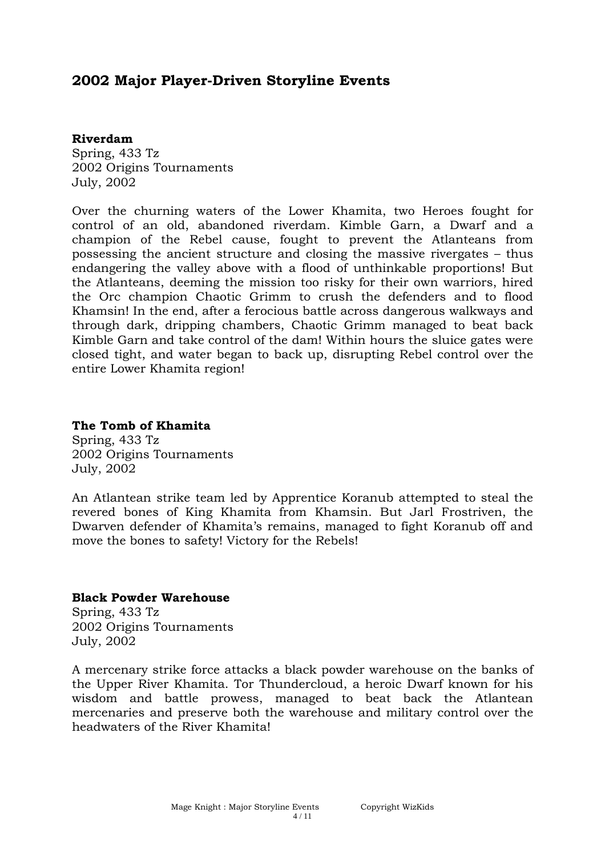# **2002 Major Player-Driven Storyline Events**

#### **Riverdam**

Spring, 433 Tz 2002 Origins Tournaments July, 2002

Over the churning waters of the Lower Khamita, two Heroes fought for control of an old, abandoned riverdam. Kimble Garn, a Dwarf and a champion of the Rebel cause, fought to prevent the Atlanteans from possessing the ancient structure and closing the massive rivergates – thus endangering the valley above with a flood of unthinkable proportions! But the Atlanteans, deeming the mission too risky for their own warriors, hired the Orc champion Chaotic Grimm to crush the defenders and to flood Khamsin! In the end, after a ferocious battle across dangerous walkways and through dark, dripping chambers, Chaotic Grimm managed to beat back Kimble Garn and take control of the dam! Within hours the sluice gates were closed tight, and water began to back up, disrupting Rebel control over the entire Lower Khamita region!

#### **The Tomb of Khamita**

Spring, 433 Tz 2002 Origins Tournaments July, 2002

An Atlantean strike team led by Apprentice Koranub attempted to steal the revered bones of King Khamita from Khamsin. But Jarl Frostriven, the Dwarven defender of Khamita's remains, managed to fight Koranub off and move the bones to safety! Victory for the Rebels!

## **Black Powder Warehouse**

Spring, 433 Tz 2002 Origins Tournaments July, 2002

A mercenary strike force attacks a black powder warehouse on the banks of the Upper River Khamita. Tor Thundercloud, a heroic Dwarf known for his wisdom and battle prowess, managed to beat back the Atlantean mercenaries and preserve both the warehouse and military control over the headwaters of the River Khamita!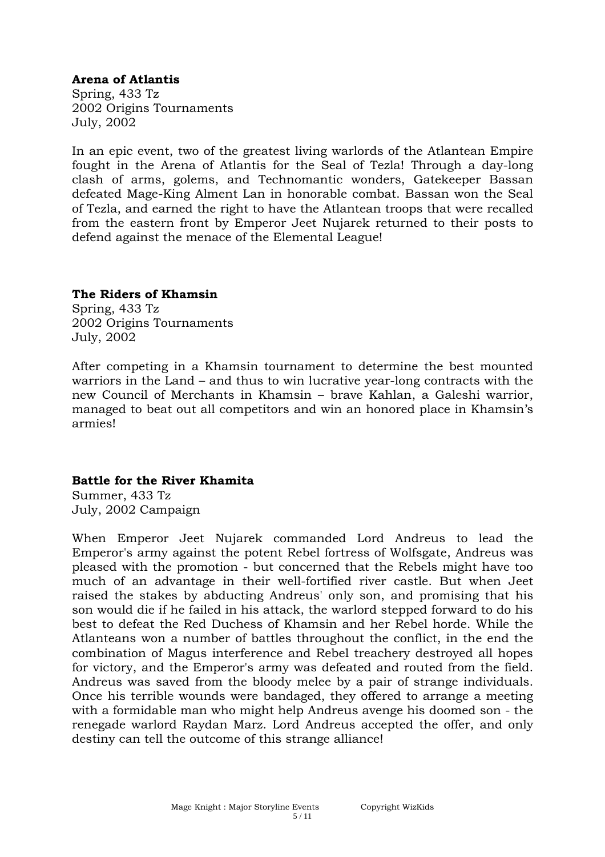# **Arena of Atlantis**

Spring, 433 Tz 2002 Origins Tournaments July, 2002

In an epic event, two of the greatest living warlords of the Atlantean Empire fought in the Arena of Atlantis for the Seal of Tezla! Through a day-long clash of arms, golems, and Technomantic wonders, Gatekeeper Bassan defeated Mage-King Alment Lan in honorable combat. Bassan won the Seal of Tezla, and earned the right to have the Atlantean troops that were recalled from the eastern front by Emperor Jeet Nujarek returned to their posts to defend against the menace of the Elemental League!

## **The Riders of Khamsin**

Spring, 433 Tz 2002 Origins Tournaments July, 2002

After competing in a Khamsin tournament to determine the best mounted warriors in the Land – and thus to win lucrative year-long contracts with the new Council of Merchants in Khamsin – brave Kahlan, a Galeshi warrior, managed to beat out all competitors and win an honored place in Khamsin's armies!

## **Battle for the River Khamita**

Summer, 433 Tz July, 2002 Campaign

When Emperor Jeet Nujarek commanded Lord Andreus to lead the Emperor's army against the potent Rebel fortress of Wolfsgate, Andreus was pleased with the promotion - but concerned that the Rebels might have too much of an advantage in their well-fortified river castle. But when Jeet raised the stakes by abducting Andreus' only son, and promising that his son would die if he failed in his attack, the warlord stepped forward to do his best to defeat the Red Duchess of Khamsin and her Rebel horde. While the Atlanteans won a number of battles throughout the conflict, in the end the combination of Magus interference and Rebel treachery destroyed all hopes for victory, and the Emperor's army was defeated and routed from the field. Andreus was saved from the bloody melee by a pair of strange individuals. Once his terrible wounds were bandaged, they offered to arrange a meeting with a formidable man who might help Andreus avenge his doomed son - the renegade warlord Raydan Marz. Lord Andreus accepted the offer, and only destiny can tell the outcome of this strange alliance!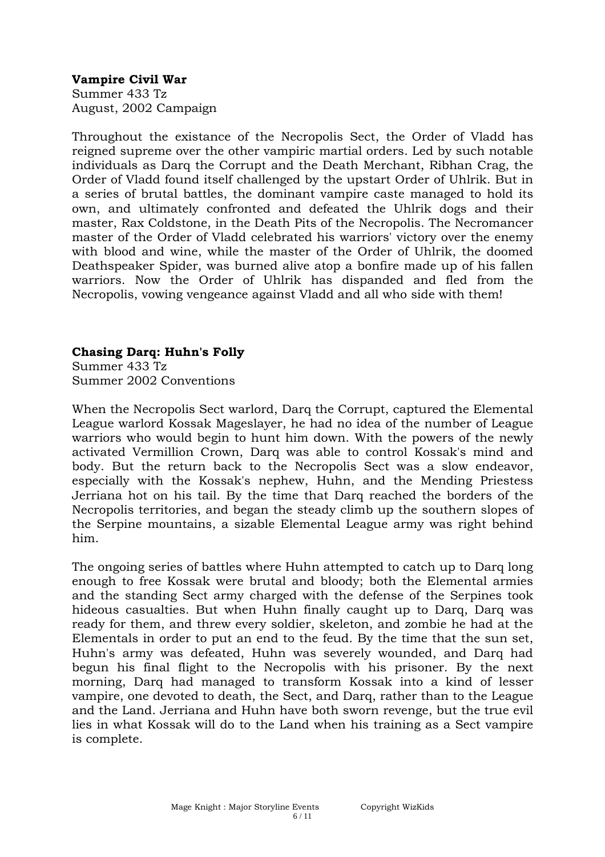## **Vampire Civil War**

Summer 433 Tz August, 2002 Campaign

Throughout the existance of the Necropolis Sect, the Order of Vladd has reigned supreme over the other vampiric martial orders. Led by such notable individuals as Darq the Corrupt and the Death Merchant, Ribhan Crag, the Order of Vladd found itself challenged by the upstart Order of Uhlrik. But in a series of brutal battles, the dominant vampire caste managed to hold its own, and ultimately confronted and defeated the Uhlrik dogs and their master, Rax Coldstone, in the Death Pits of the Necropolis. The Necromancer master of the Order of Vladd celebrated his warriors' victory over the enemy with blood and wine, while the master of the Order of Uhlrik, the doomed Deathspeaker Spider, was burned alive atop a bonfire made up of his fallen warriors. Now the Order of Uhlrik has dispanded and fled from the Necropolis, vowing vengeance against Vladd and all who side with them!

# **Chasing Darq: Huhn's Folly**

Summer 433 Tz Summer 2002 Conventions

When the Necropolis Sect warlord, Darq the Corrupt, captured the Elemental League warlord Kossak Mageslayer, he had no idea of the number of League warriors who would begin to hunt him down. With the powers of the newly activated Vermillion Crown, Darq was able to control Kossak's mind and body. But the return back to the Necropolis Sect was a slow endeavor, especially with the Kossak's nephew, Huhn, and the Mending Priestess Jerriana hot on his tail. By the time that Darq reached the borders of the Necropolis territories, and began the steady climb up the southern slopes of the Serpine mountains, a sizable Elemental League army was right behind him.

The ongoing series of battles where Huhn attempted to catch up to Darq long enough to free Kossak were brutal and bloody; both the Elemental armies and the standing Sect army charged with the defense of the Serpines took hideous casualties. But when Huhn finally caught up to Darq, Darq was ready for them, and threw every soldier, skeleton, and zombie he had at the Elementals in order to put an end to the feud. By the time that the sun set, Huhn's army was defeated, Huhn was severely wounded, and Darq had begun his final flight to the Necropolis with his prisoner. By the next morning, Darq had managed to transform Kossak into a kind of lesser vampire, one devoted to death, the Sect, and Darq, rather than to the League and the Land. Jerriana and Huhn have both sworn revenge, but the true evil lies in what Kossak will do to the Land when his training as a Sect vampire is complete.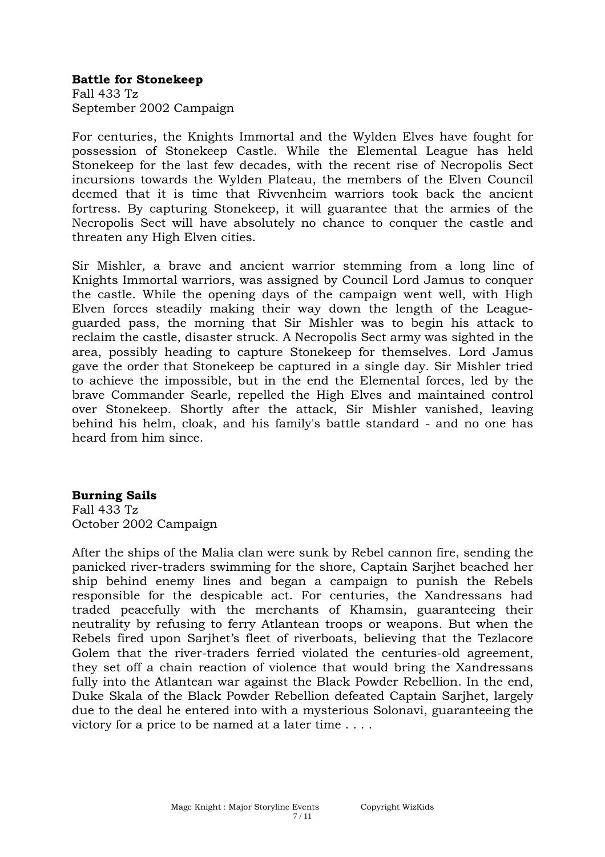#### **Battle for Stonekeep**

Fall 433 Tz September 2002 Campaign

For centuries, the Knights Immortal and the Wylden Elves have fought for possession of Stonekeep Castle. While the Elemental League has held Stonekeep for the last few decades, with the recent rise of Necropolis Sect incursions towards the Wylden Plateau, the members of the Elven Council deemed that it is time that Rivvenheim warriors took back the ancient fortress. By capturing Stonekeep, it will guarantee that the armies of the Necropolis Sect will have absolutely no chance to conquer the castle and threaten any High Elven cities.

Sir Mishler, a brave and ancient warrior stemming from a long line of Knights Immortal warriors, was assigned by Council Lord Jamus to conquer the castle. While the opening days of the campaign went well, with High Elven forces steadily making their way down the length of the Leagueguarded pass, the morning that Sir Mishler was to begin his attack to reclaim the castle, disaster struck. A Necropolis Sect army was sighted in the area, possibly heading to capture Stonekeep for themselves. Lord Jamus gave the order that Stonekeep be captured in a single day. Sir Mishler tried to achieve the impossible, but in the end the Elemental forces, led by the brave Commander Searle, repelled the High Elves and maintained control over Stonekeep. Shortly after the attack, Sir Mishler vanished, leaving behind his helm, cloak, and his family's battle standard - and no one has heard from him since.

## **Burning Sails**

Fall 433 Tz October 2002 Campaign

After the ships of the Malia clan were sunk by Rebel cannon fire, sending the panicked river-traders swimming for the shore, Captain Sarjhet beached her ship behind enemy lines and began a campaign to punish the Rebels responsible for the despicable act. For centuries, the Xandressans had traded peacefully with the merchants of Khamsin, guaranteeing their neutrality by refusing to ferry Atlantean troops or weapons. But when the Rebels fired upon Sarjhet's fleet of riverboats, believing that the Tezlacore Golem that the river-traders ferried violated the centuries-old agreement, they set off a chain reaction of violence that would bring the Xandressans fully into the Atlantean war against the Black Powder Rebellion. In the end, Duke Skala of the Black Powder Rebellion defeated Captain Sarjhet, largely due to the deal he entered into with a mysterious Solonavi, guaranteeing the victory for a price to be named at a later time . . . .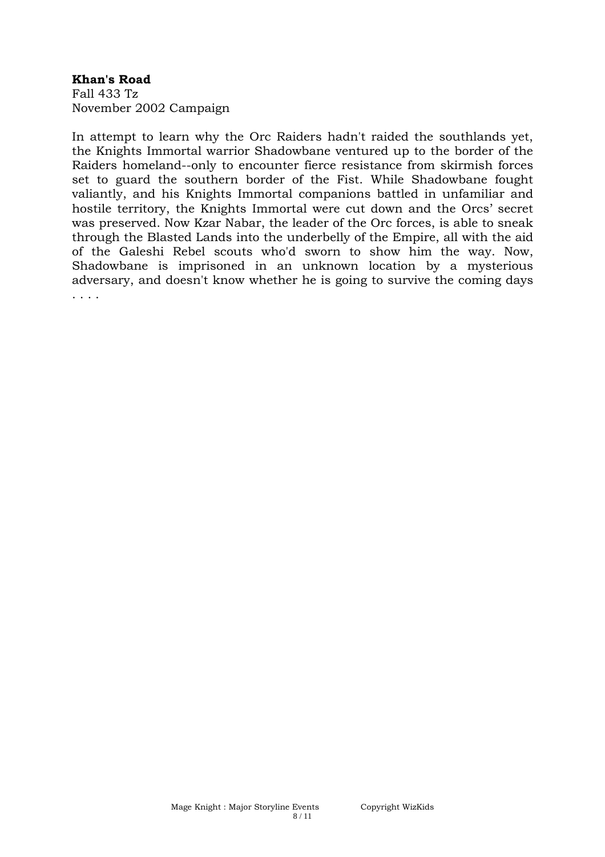## **Khan's Road**

Fall 433 Tz November 2002 Campaign

In attempt to learn why the Orc Raiders hadn't raided the southlands yet, the Knights Immortal warrior Shadowbane ventured up to the border of the Raiders homeland--only to encounter fierce resistance from skirmish forces set to guard the southern border of the Fist. While Shadowbane fought valiantly, and his Knights Immortal companions battled in unfamiliar and hostile territory, the Knights Immortal were cut down and the Orcs' secret was preserved. Now Kzar Nabar, the leader of the Orc forces, is able to sneak through the Blasted Lands into the underbelly of the Empire, all with the aid of the Galeshi Rebel scouts who'd sworn to show him the way. Now, Shadowbane is imprisoned in an unknown location by a mysterious adversary, and doesn't know whether he is going to survive the coming days . . . .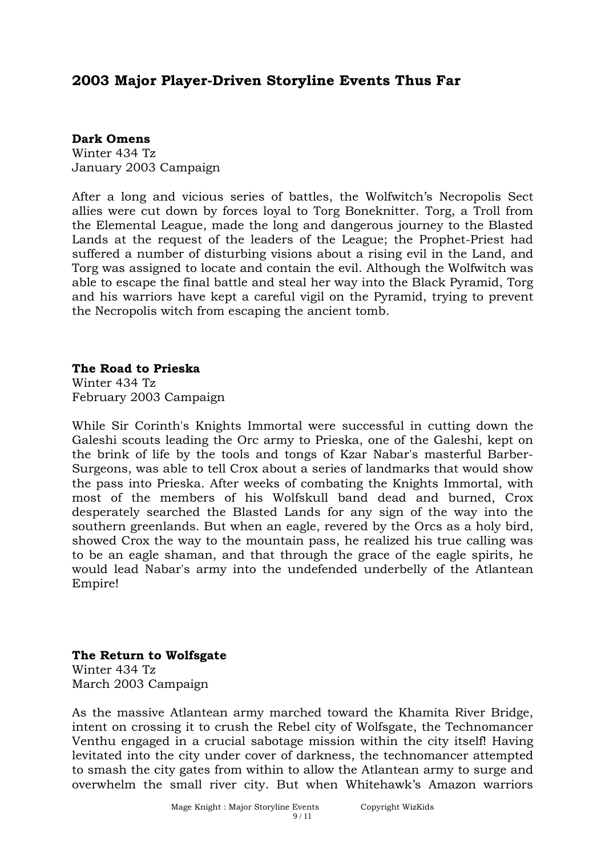# **2003 Major Player-Driven Storyline Events Thus Far**

#### **Dark Omens**

Winter 434 Tz January 2003 Campaign

After a long and vicious series of battles, the Wolfwitch's Necropolis Sect allies were cut down by forces loyal to Torg Boneknitter. Torg, a Troll from the Elemental League, made the long and dangerous journey to the Blasted Lands at the request of the leaders of the League; the Prophet-Priest had suffered a number of disturbing visions about a rising evil in the Land, and Torg was assigned to locate and contain the evil. Although the Wolfwitch was able to escape the final battle and steal her way into the Black Pyramid, Torg and his warriors have kept a careful vigil on the Pyramid, trying to prevent the Necropolis witch from escaping the ancient tomb.

# **The Road to Prieska**

Winter 434 Tz February 2003 Campaign

While Sir Corinth's Knights Immortal were successful in cutting down the Galeshi scouts leading the Orc army to Prieska, one of the Galeshi, kept on the brink of life by the tools and tongs of Kzar Nabar's masterful Barber-Surgeons, was able to tell Crox about a series of landmarks that would show the pass into Prieska. After weeks of combating the Knights Immortal, with most of the members of his Wolfskull band dead and burned, Crox desperately searched the Blasted Lands for any sign of the way into the southern greenlands. But when an eagle, revered by the Orcs as a holy bird, showed Crox the way to the mountain pass, he realized his true calling was to be an eagle shaman, and that through the grace of the eagle spirits, he would lead Nabar's army into the undefended underbelly of the Atlantean Empire!

# **The Return to Wolfsgate**

Winter 434 Tz March 2003 Campaign

As the massive Atlantean army marched toward the Khamita River Bridge, intent on crossing it to crush the Rebel city of Wolfsgate, the Technomancer Venthu engaged in a crucial sabotage mission within the city itself! Having levitated into the city under cover of darkness, the technomancer attempted to smash the city gates from within to allow the Atlantean army to surge and overwhelm the small river city. But when Whitehawk's Amazon warriors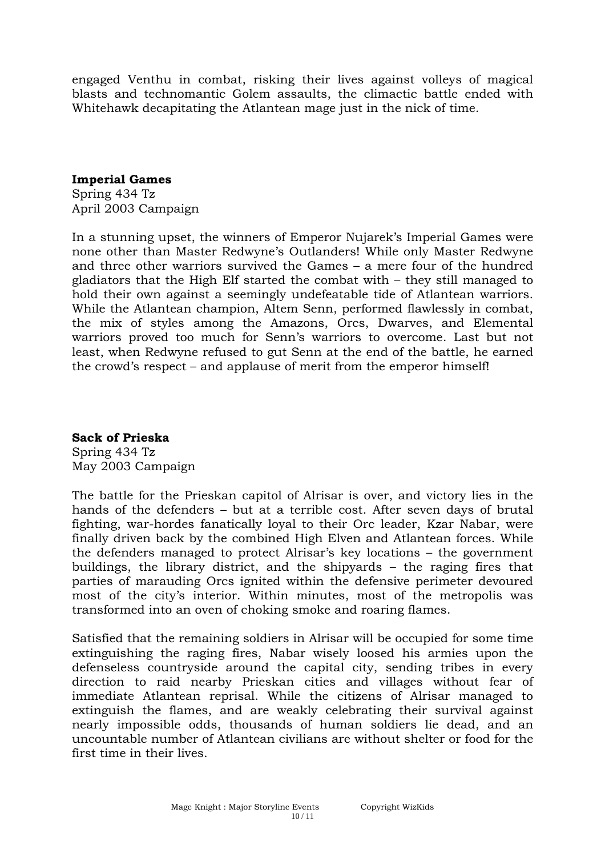engaged Venthu in combat, risking their lives against volleys of magical blasts and technomantic Golem assaults, the climactic battle ended with Whitehawk decapitating the Atlantean mage just in the nick of time.

#### **Imperial Games**

Spring 434 Tz April 2003 Campaign

In a stunning upset, the winners of Emperor Nujarek's Imperial Games were none other than Master Redwyne's Outlanders! While only Master Redwyne and three other warriors survived the Games – a mere four of the hundred gladiators that the High Elf started the combat with – they still managed to hold their own against a seemingly undefeatable tide of Atlantean warriors. While the Atlantean champion, Altem Senn, performed flawlessly in combat, the mix of styles among the Amazons, Orcs, Dwarves, and Elemental warriors proved too much for Senn's warriors to overcome. Last but not least, when Redwyne refused to gut Senn at the end of the battle, he earned the crowd's respect – and applause of merit from the emperor himself!

## **Sack of Prieska**

Spring 434 Tz May 2003 Campaign

The battle for the Prieskan capitol of Alrisar is over, and victory lies in the hands of the defenders – but at a terrible cost. After seven days of brutal fighting, war-hordes fanatically loyal to their Orc leader, Kzar Nabar, were finally driven back by the combined High Elven and Atlantean forces. While the defenders managed to protect Alrisar's key locations – the government buildings, the library district, and the shipyards – the raging fires that parties of marauding Orcs ignited within the defensive perimeter devoured most of the city's interior. Within minutes, most of the metropolis was transformed into an oven of choking smoke and roaring flames.

Satisfied that the remaining soldiers in Alrisar will be occupied for some time extinguishing the raging fires, Nabar wisely loosed his armies upon the defenseless countryside around the capital city, sending tribes in every direction to raid nearby Prieskan cities and villages without fear of immediate Atlantean reprisal. While the citizens of Alrisar managed to extinguish the flames, and are weakly celebrating their survival against nearly impossible odds, thousands of human soldiers lie dead, and an uncountable number of Atlantean civilians are without shelter or food for the first time in their lives.